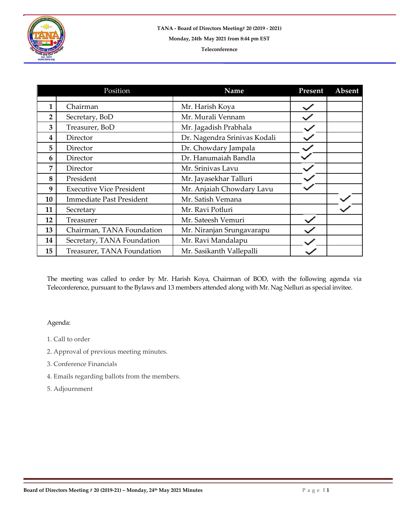

|                | Position                        | Name                         | Present | Absent |
|----------------|---------------------------------|------------------------------|---------|--------|
|                |                                 |                              |         |        |
| 1              | Chairman                        | Mr. Harish Koya              |         |        |
| $\overline{2}$ | Secretary, BoD                  | Mr. Murali Vennam            |         |        |
| 3              | Treasurer, BoD                  | Mr. Jagadish Prabhala        |         |        |
| 4              | Director                        | Dr. Nagendra Srinivas Kodali |         |        |
| 5              | Director                        | Dr. Chowdary Jampala         |         |        |
| 6              | Director                        | Dr. Hanumaiah Bandla         |         |        |
| 7              | Director                        | Mr. Srinivas Lavu            |         |        |
| 8              | President                       | Mr. Jayasekhar Talluri       |         |        |
| 9              | <b>Executive Vice President</b> | Mr. Anjaiah Chowdary Lavu    |         |        |
| 10             | <b>Immediate Past President</b> | Mr. Satish Vemana            |         |        |
| 11             | Secretary                       | Mr. Ravi Potluri             |         |        |
| 12             | Treasurer                       | Mr. Sateesh Vemuri           |         |        |
| 13             | Chairman, TANA Foundation       | Mr. Niranjan Srungavarapu    |         |        |
| 14             | Secretary, TANA Foundation      | Mr. Ravi Mandalapu           |         |        |
| 15             | Treasurer, TANA Foundation      | Mr. Sasikanth Vallepalli     |         |        |

The meeting was called to order by Mr. Harish Koya, Chairman of BOD, with the following agenda via Teleconference, pursuant to the Bylaws and 13 members attended along with Mr. Nag Nelluri as special invitee.

## Agenda:

- 1. Call to order
- 2. Approval of previous meeting minutes.
- 3. Conference Financials
- 4. Emails regarding ballots from the members.
- 5. Adjournment